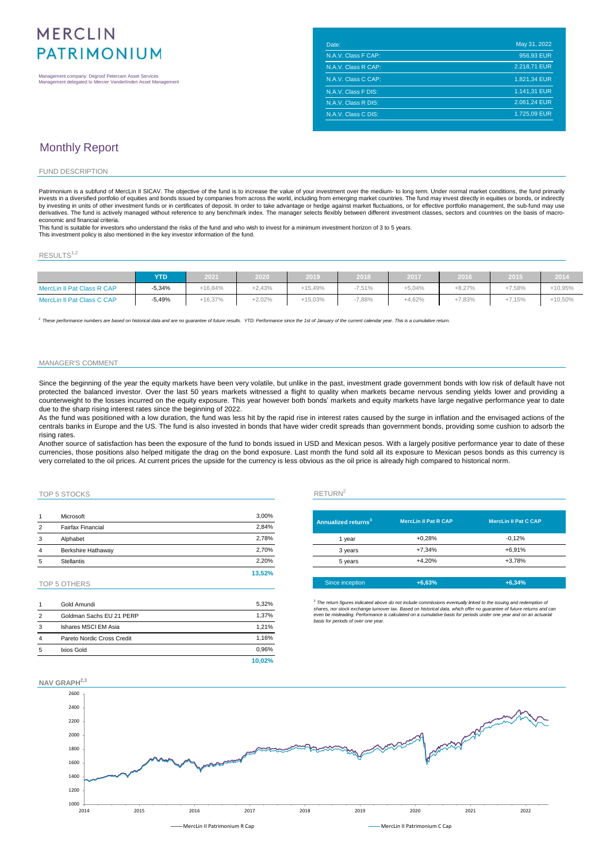# **MERCLIN PATRIMONIUM**

Management company: Degroof Petercam Asset Services Management delegated to Mercier Vanderlinden Asset Management

| Date:               | May 31, 2022 |
|---------------------|--------------|
| N.A.V. Class F CAP: | 956,93 EUR   |
| N.A.V. Class R CAP: | 2.218,71 EUR |
| N.A.V. Class C CAP: | 1.821,34 EUR |
| N.A.V. Class F DIS: | 1.141,31 EUR |
| N.A.V. Class R DIS: | 2.061.24 EUR |
| N.A.V. Class C DIS: | 1.725.09 EUR |

## Monthly Report

#### FUND DESCRIPTION

Patrimonium is a subfund of MercLin II SICAV. The objective of the fund is to increase the value of your investment over the medium- to long term. Under normal market conditions, the fund primarily<br>invests in a diversified by investing in units of other investment funds or in certificates of deposit. In order to take advantage or hedge against market fluctuations, or for effective portfolio management, the sub-fund may use<br>derivatives. The f economic and financial criteria.

This fund is suitable for investors who understand the risks of the fund and who wish to invest for a minimum investment horizon of 3 to 5 years. This investment policy is also mentioned in the key investor information of the fund.

### $RESULTS<sup>1,2</sup>$

|                            | YTD      | 2021      | 2020     | 2019      | 2018     | 2017     | 2016     | 2015     | 2014       |
|----------------------------|----------|-----------|----------|-----------|----------|----------|----------|----------|------------|
| MercLin II Pat Class R CAP | $-5.34%$ | $+16.84%$ | $+2.43%$ | $+15.49%$ | $-7.51%$ | $+5.04%$ | $+8.27%$ | $+7.58%$ | +10.95%    |
| MercLin II Pat Class C CAP | $-5,49%$ | +16.37%   | $+2,02%$ | $+15,03%$ | 7,88%    | $+4,62%$ | $+7,83%$ | $+7.15%$ | $+10,50\%$ |

<sup>2</sup> These performance numbers are based on historical data and are no guarantee of future results. YTD: Performance since the 1st of January of the current calendar year. This is a cumulative return.

### MANAGER'S COMMENT

Since the beginning of the year the equity markets have been very volatile, but unlike in the past, investment grade government bonds with low risk of default have not protected the balanced investor. Over the last 50 years markets witnessed a flight to quality when markets became nervous sending yields lower and providing a counterweight to the losses incurred on the equity exposure. This year however both bonds' markets and equity markets have large negative performance year to date due to the sharp rising interest rates since the beginning of 2022.

As the fund was positioned with a low duration, the fund was less hit by the rapid rise in interest rates caused by the surge in inflation and the envisaged actions of the centrals banks in Europe and the US. The fund is also invested in bonds that have wider credit spreads than government bonds, providing some cushion to adsorb the rising rates.

Another source of satisfaction has been the exposure of the fund to bonds issued in USD and Mexican pesos. With a largely positive performance year to date of these currencies, those positions also helped mitigate the drag on the bond exposure. Last month the fund sold all its exposure to Mexican pesos bonds as this currency is very correlated to the oil prices. At current prices the upside for the currency is less obvious as the oil price is already high compared to historical norm.

### TOP 5 STOCKS RETURN<sup>2</sup>

| 1 | Microsoft                 | 3,00%  |                       |
|---|---------------------------|--------|-----------------------|
| 2 | <b>Fairfax Financial</b>  | 2,84%  | <b>Annualized ret</b> |
| 3 | Alphabet                  | 2.78%  | 1 year                |
| 4 | <b>Berkshire Hathaway</b> | 2,70%  | 3 years               |
| 5 | <b>Stellantis</b>         | 2.20%  | 5 years               |
|   |                           | 13.52% |                       |

### TOP 5 OTHERS

|   | Gold Amundi                | 5.32%  |
|---|----------------------------|--------|
| 2 | Goldman Sachs EU 21 PERP   | 1.37%  |
| 3 | Ishares MSCI EM Asia       | 1.21%  |
| 4 | Pareto Nordic Cross Credit | 1.16%  |
| 5 | Ixios Gold                 | 0.96%  |
|   |                            | 10.02% |

| Annualized returns <sup>3</sup> | <b>MercLin II Pat R CAP</b> | <b>MercLin II Pat C CAP</b> |
|---------------------------------|-----------------------------|-----------------------------|
| 1 year                          | $+0.28%$                    | $-0.12%$                    |
| 3 years                         | $+7.34%$                    | $+6.91%$                    |
| 5 years                         | $+4.20%$                    | $+3.78%$                    |
|                                 |                             |                             |
| Since inception                 | $+6.63%$                    | $+6.34%$                    |

<sup>3</sup> The return figures indicated above do not include commissions eventually linked to the issuing and redemption of<br>shares, nor stock exchange turnover tax. Based on historical data, which offer no guarantee of future ret